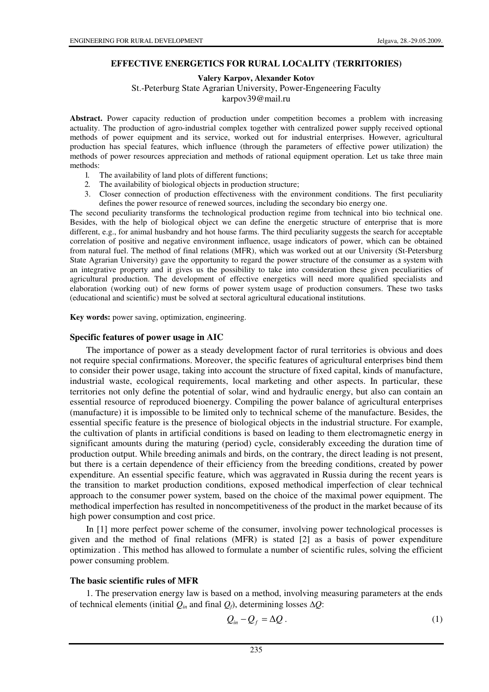## **EFFECTIVE ENERGETICS FOR RURAL LOCALITY (TERRITORIES)**

**Valery Karpov, Alexander Kotov** 

St.-Peterburg State Agrarian University, Power-Engeneering Faculty

karpov39@mail.ru

Abstract. Power capacity reduction of production under competition becomes a problem with increasing actuality. The production of agro-industrial complex together with centralized power supply received optional methods of power equipment and its service, worked out for industrial enterprises. However, agricultural production has special features, which influence (through the parameters of effective power utilization) the methods of power resources appreciation and methods of rational equipment operation. Let us take three main methods:

- 1. The availability of land plots of different functions;
- 2. The availability of biological objects in production structure;
- 3. Closer connection of production effectiveness with the environment conditions. The first peculiarity defines the power resource of renewed sources, including the secondary bio energy one.

The second peculiarity transforms the technological production regime from technical into bio technical one. Besides, with the help of biological object we can define the energetic structure of enterprise that is more different, e.g., for animal husbandry and hot house farms. The third peculiarity suggests the search for acceptable correlation of positive and negative environment influence, usage indicators of power, which can be obtained from natural fuel. The method of final relations (MFR), which was worked out at our University (St-Petersburg State Agrarian University) gave the opportunity to regard the power structure of the consumer as a system with an integrative property and it gives us the possibility to take into consideration these given peculiarities of agricultural production. The development of effective energetics will need more qualified specialists and elaboration (working out) of new forms of power system usage of production consumers. These two tasks (educational and scientific) must be solved at sectoral agricultural educational institutions.

**Key words:** power saving, optimization, engineering.

### **Specific features of power usage in AIC**

The importance of power as a steady development factor of rural territories is obvious and does not require special confirmations. Moreover, the specific features of agricultural enterprises bind them to consider their power usage, taking into account the structure of fixed capital, kinds of manufacture, industrial waste, ecological requirements, local marketing and other aspects. In particular, these territories not only define the potential of solar, wind and hydraulic energy, but also can contain an essential resource of reproduced bioenergy. Compiling the power balance of agricultural enterprises (manufacture) it is impossible to be limited only to technical scheme of the manufacture. Besides, the essential specific feature is the presence of biological objects in the industrial structure. For example, the cultivation of plants in artificial conditions is based on leading to them electromagnetic energy in significant amounts during the maturing (period) cycle, considerably exceeding the duration time of production output. While breeding animals and birds, on the contrary, the direct leading is not present, but there is a certain dependence of their efficiency from the breeding conditions, created by power expenditure. An essential specific feature, which was aggravated in Russia during the recent years is the transition to market production conditions, exposed methodical imperfection of clear technical approach to the consumer power system, based on the choice of the maximal power equipment. The methodical imperfection has resulted in noncompetitiveness of the product in the market because of its high power consumption and cost price.

In [1] more perfect power scheme of the consumer, involving power technological processes is given and the method of final relations (MFR) is stated [2] as a basis of power expenditure optimization . This method has allowed to formulate a number of scientific rules, solving the efficient power consuming problem.

# **The basic scientific rules of MFR**

1. The preservation energy law is based on a method, involving measuring parameters at the ends of technical elements (initial *Qin* and final *Qf*), determining losses ∆*Q*:

$$
Q_{in} - Q_f = \Delta Q. \tag{1}
$$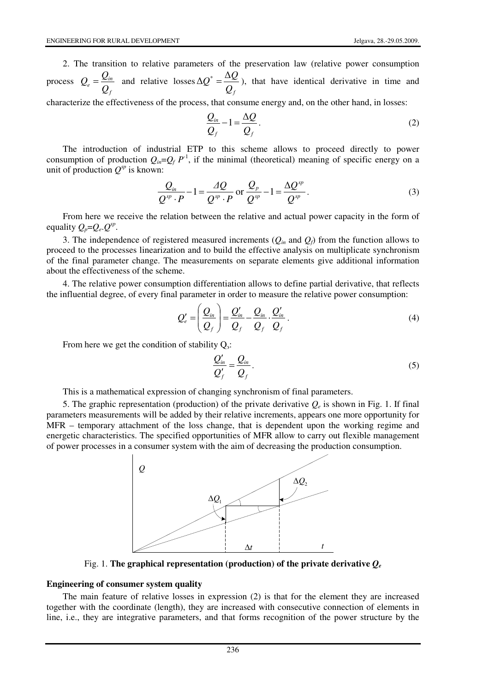2. The transition to relative parameters of the preservation law (relative power consumption process *f*  $\frac{Q}{e} = \frac{Q_{in}}{Q_f}$  $Q_e = \frac{Q_{in}}{Q}$  and relative losses *f \* Q*  $Q^* = \frac{\Delta Q}{\Delta}$  $\Delta Q^* = \frac{\Delta Q}{r^2}$ , that have identical derivative in time and

characterize the effectiveness of the process, that consume energy and, on the other hand, in losses:

$$
\frac{Q_{in}}{Q_f} - 1 = \frac{\Delta Q}{Q_f}.
$$
\n(2)

The introduction of industrial ETP to this scheme allows to proceed directly to power consumption of production  $Q_{in}=Q_f P^{-1}$ , if the minimal (theoretical) meaning of specific energy on a unit of production  $Q^{sp}$  is known:

$$
\frac{Q_{in}}{Q^{sp} \cdot P} - 1 = \frac{AQ}{Q^{sp} \cdot P} \text{ or } \frac{Q_p}{Q^{sp}} - 1 = \frac{\Delta Q^{sp}}{Q^{sp}}.
$$
\n(3)

From here we receive the relation between the relative and actual power capacity in the form of equality  $Q_p = Q_e Q^{sp}$ .

3. The independence of registered measured increments  $(Q_{in}$  and  $Q_f$ ) from the function allows to proceed to the processes linearization and to build the effective analysis on multiplicate synchronism of the final parameter change. The measurements on separate elements give additional information about the effectiveness of the scheme.

4. The relative power consumption differentiation allows to define partial derivative, that reflects the influential degree, of every final parameter in order to measure the relative power consumption:

$$
Q'_{e} = \left(\frac{Q_{in}}{Q_{f}}\right) = \frac{Q'_{in}}{Q_{f}} - \frac{Q_{in}}{Q_{f}} \cdot \frac{Q'_{in}}{Q_{f}}.
$$
\n(4)

From here we get the condition of stability  $Q_3$ :

$$
\frac{Q'_{in}}{Q'_f} = \frac{Q_{in}}{Q_f}.
$$
\n(5)

This is a mathematical expression of changing synchronism of final parameters.

5. The graphic representation (production) of the private derivative  $Q_e$  is shown in Fig. 1. If final parameters measurements will be added by their relative increments, appears one more opportunity for MFR – temporary attachment of the loss change, that is dependent upon the working regime and energetic characteristics. The specified opportunities of MFR allow to carry out flexible management of power processes in a consumer system with the aim of decreasing the production consumption.



Fig. 1. The graphical representation (production) of the private derivative  $Q_e$ 

### **Engineering of consumer system quality**

The main feature of relative losses in expression (2) is that for the element they are increased together with the coordinate (length), they are increased with consecutive connection of elements in line, i.e., they are integrative parameters, and that forms recognition of the power structure by the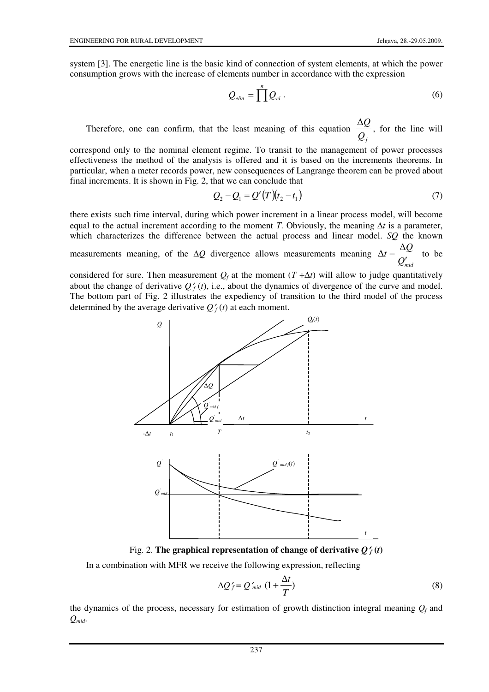system [3]. The energetic line is the basic kind of connection of system elements, at which the power consumption grows with the increase of elements number in accordance with the expression

$$
Q_{\text{elin}} = \prod^n Q_{\text{ei}} \,. \tag{6}
$$

Therefore, one can confirm, that the least meaning of this equation  $\overline{\mathcal{Q}}_f$  $\frac{\Delta Q}{\Delta}$ , for the line will

correspond only to the nominal element regime. To transit to the management of power processes effectiveness the method of the analysis is offered and it is based on the increments theorems. In particular, when a meter records power, new consequences of Langrange theorem can be proved about final increments. It is shown in Fig. 2, that we can conclude that

$$
Q_2 - Q_1 = Q'(T)(t_2 - t_1)
$$
\n(7)

there exists such time interval, during which power increment in a linear process model, will become equal to the actual increment according to the moment T. Obviously, the meaning  $\Delta t$  is a parameter, which characterizes the difference between the actual process and linear model. *SQ* the known measurements meaning, of the ∆*Q* divergence allows measurements meaning *Qmid*  $t = \frac{\Delta Q}{\Delta t}$ ′ =  $\Delta t = \frac{\Delta Q}{c}$  to be

considered for sure. Then measurement  $Q_f$  at the moment  $(T + \Delta t)$  will allow to judge quantitatively about the change of derivative  $Q_f'(t)$ , i.e., about the dynamics of divergence of the curve and model. The bottom part of Fig. 2 illustrates the expediency of transition to the third model of the process determined by the average derivative  $Q_f(t)$  at each moment.



Fig. 2. **The graphical representation of change of derivative**  $Q_f^{\prime}(t)$ 

In a combination with MFR we receive the following expression, reflecting

$$
\Delta Q'_{f} = Q'_{mid} \ (1 + \frac{\Delta t}{T}) \tag{8}
$$

the dynamics of the process, necessary for estimation of growth distinction integral meaning  $Q_f$  and *Qmid*.